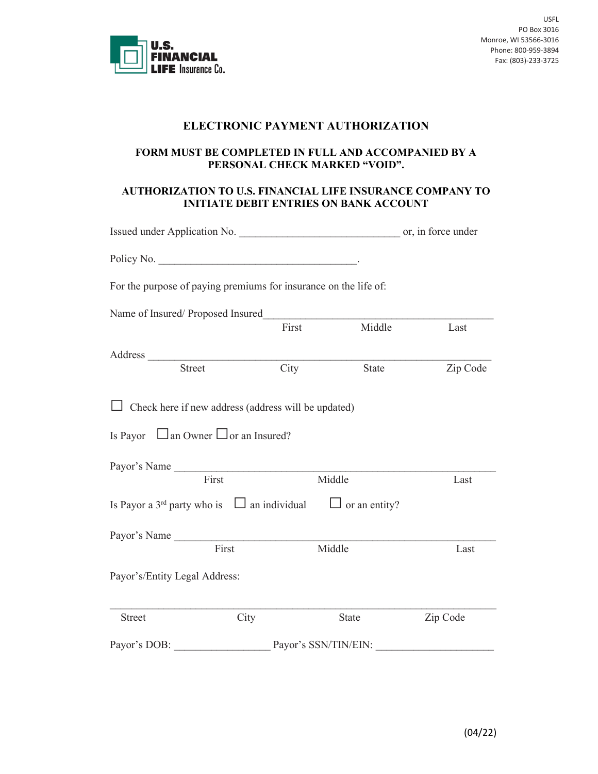

## **ELECTRONIC PAYMENT AUTHORIZATION**

## **FORM MUST BE COMPLETED IN FULL AND ACCOMPANIED BY A PERSONAL CHECK MARKED "VOID".**

## **AUTHORIZATION TO U.S. FINANCIAL LIFE INSURANCE COMPANY TO INITIATE DEBIT ENTRIES ON BANK ACCOUNT**

|                                                                  |               |                                                     | Issued under Application No. 1999. The contract of the contract of the contract of the contract of the contract of the contract of the contract of the contract of the contract of the contract of the contract of the contrac |          |
|------------------------------------------------------------------|---------------|-----------------------------------------------------|--------------------------------------------------------------------------------------------------------------------------------------------------------------------------------------------------------------------------------|----------|
| Policy No.                                                       |               |                                                     |                                                                                                                                                                                                                                |          |
| For the purpose of paying premiums for insurance on the life of: |               |                                                     |                                                                                                                                                                                                                                |          |
| Name of Insured/Proposed Insured                                 |               |                                                     |                                                                                                                                                                                                                                |          |
|                                                                  |               | First                                               | Middle                                                                                                                                                                                                                         | Last     |
|                                                                  |               |                                                     |                                                                                                                                                                                                                                |          |
|                                                                  | <b>Street</b> | City                                                | <b>State</b>                                                                                                                                                                                                                   | Zip Code |
| Is Payor $\Box$ an Owner $\Box$ or an Insured?<br>Payor's Name   |               | Check here if new address (address will be updated) |                                                                                                                                                                                                                                |          |
|                                                                  | First         |                                                     | Middle                                                                                                                                                                                                                         | Last     |
| Is Payor a 3 <sup>rd</sup> party who is $\Box$ an individual     |               |                                                     | $\Box$ or an entity?                                                                                                                                                                                                           |          |
| Payor's Name                                                     |               |                                                     |                                                                                                                                                                                                                                |          |
|                                                                  | First         |                                                     | Middle                                                                                                                                                                                                                         | Last     |
| Payor's/Entity Legal Address:                                    |               |                                                     |                                                                                                                                                                                                                                |          |
| <b>Street</b>                                                    |               | City                                                | State                                                                                                                                                                                                                          | Zip Code |
| Payor's DOB:                                                     |               |                                                     | Payor's SSN/TIN/EIN:                                                                                                                                                                                                           |          |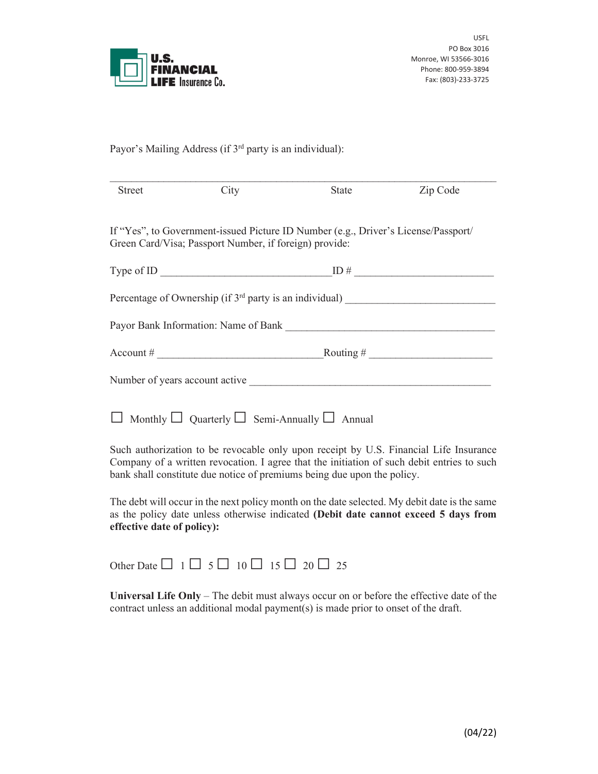

USFL PO Box 3016 Monroe, WI 53566-3016 Phone: 800-959-3894 Fax: (803)-233-3725

Payor's Mailing Address (if 3<sup>rd</sup> party is an individual):

| <b>Street</b> | City                                                                                                                                         | <b>State</b> | Zip Code                |
|---------------|----------------------------------------------------------------------------------------------------------------------------------------------|--------------|-------------------------|
|               | If "Yes", to Government-issued Picture ID Number (e.g., Driver's License/Passport/<br>Green Card/Visa; Passport Number, if foreign) provide: |              |                         |
|               |                                                                                                                                              |              |                         |
|               |                                                                                                                                              |              |                         |
|               | Payor Bank Information: Name of Bank Languary 2014                                                                                           |              |                         |
|               | $\text{Account} \#$                                                                                                                          |              | $\frac{1}{2}$ Routing # |
|               | Number of years account active                                                                                                               |              |                         |
|               | Monthly $\Box$ Quarterly $\Box$ Semi-Annually $\Box$ Annual                                                                                  |              |                         |

Such authorization to be revocable only upon receipt by U.S. Financial Life Insurance Company of a written revocation. I agree that the initiation of such debit entries to such bank shall constitute due notice of premiums being due upon the policy.

The debt will occur in the next policy month on the date selected. My debit date is the same as the policy date unless otherwise indicated **(Debit date cannot exceed 5 days from effective date of policy):**

Other Date  $\Box$  1  $\Box$  5  $\Box$  10  $\Box$  15  $\Box$  20  $\Box$  25

**Universal Life Only** – The debit must always occur on or before the effective date of the contract unless an additional modal payment(s) is made prior to onset of the draft.